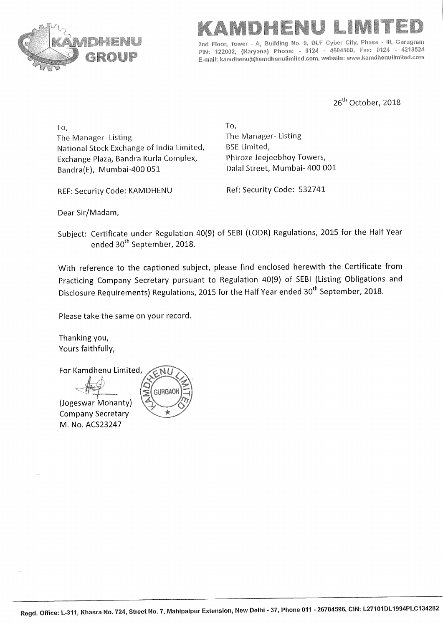



Building No. 9, DLF Cyber City, Phase -III. Gurugram 2nd Floor. PIN: 122002, (Haryana) Phone: - 0124 - 4604500, Fax: 0124 - 4218524 E-mail: kamdhenu@kamdhenulimited.com, website: www.kamdhenulimited.com

26<sup>th</sup> October, 2018

To. The Manager-Listing National Stock Exchange of India Limited, Exchange Plaza, Bandra Kurla Complex, Bandra(E), Mumbai-400 051

REF: Security Code: KAMDHENU

To, The Manager-Listing **BSE Limited,** Phiroze Jeejeebhoy Towers, Dalal Street, Mumbai- 400 001

Ref: Security Code: 532741

Dear Sir/Madam,

Subject: Certificate under Regulation 40(9) of SEBI (LODR) Regulations, 2015 for the Half Year ended 30<sup>th</sup> September, 2018.

With reference to the captioned subject, please find enclosed herewith the Certificate from Practicing Company Secretary pursuant to Regulation 40(9) of SEBI (Listing Obligations and Disclosure Requirements) Regulations, 2015 for the Half Year ended 30<sup>th</sup> September, 2018.

Please take the same on your record.

Thanking you, Yours faithfully,

For Kamdhenu Limited, **GURGAOI** (Jogeswar Mohanty) **Company Secretary** ÷ M. No. ACS23247